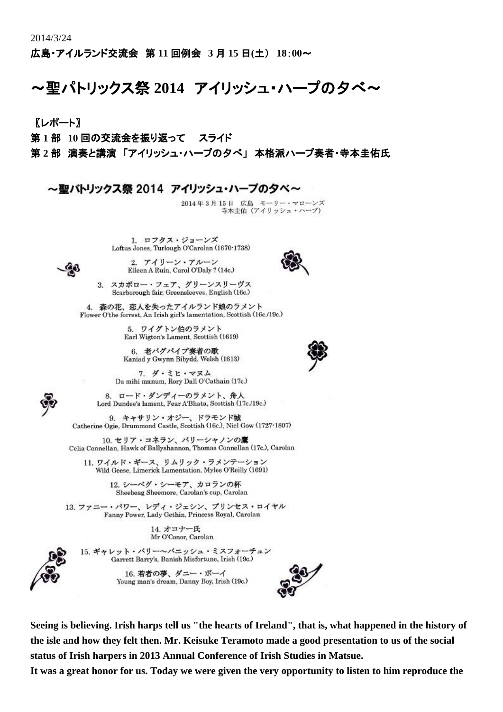広島・アイルランド交流会 第 **11** 回例会 **3** 月 **15** 日**(**土) **18**:**00**~

## ~聖パトリックス祭 **2014** アイリッシュ・ハープの夕べ~

〖レポート〗

第 **1** 部 **10** 回の交流会を振り返って スライド

第 **2** 部 演奏と講演 「アイリッシュ・ハープの夕べ」 本格派ハープ奏者・寺本圭佑氏

~聖バトリックス祭 2014 アイリッシュ・ハーブのタベ~

2014年3月15日 広島 モーリー・マローンズ 寺本圭佑 (アイリッシュ・ハーブ)

1. ロフタス・ジョーンズ Loftus Jones, Turlough O'Carolan (1670-1738)



2. アイリーン・アルーン Eileen A Ruin, Carol O'Daly ? (14c.)



3. スカボロー・フェア、グリーンスリーヴス Scarborough fair, Greensleeves, English (16c.)

4. 森の花、恋人を失ったアイルランド娘のラメント Flower O'the forrest, An Irish girl's lamentation, Scottish (16c./19c.)

> 5. ワイグトン伯のラメント Earl Wigton's Lament, Scottish (1619)

> 6. 老バグパイプ奏者の歌 Kaniad y Gwynn Bibydd, Welsh (1613)

7. ダ・ミヒ・マヌム Da mihi manum, Rory Dall O'Cathain (17c.)

8. ロード・ダンディーのラメント、舟人 Lord Dundee's lament, Fear A'Bhata, Scottish (17c./19c.)

9. キャサリン・オジー、ドラモンド城 Catherine Ogie, Drummond Castle, Scottish (16c.), Niel Gow (1727-1807)

10. セリア・コネラン、バリーシャノンの鷹 Celia Connellan, Hawk of Ballyshannon, Thomas Connellan (17c.), Carolan

11. ワイルド・ギース、リムリック・ラメンテーション Wild Geese, Limerick Lamentation, Myles O'Reilly (1691)

> 12. シーベグ・シーモア、カロランの杯 Sheebeag Sheemore, Carolan's cup, Carolan

13. ファニー・パワー、レディ・ジェシン、プリンセス・ロイヤル Fanny Power, Lady Gethin, Princess Royal, Carolan

> 14. オコナー氏 Mr O'Conor, Carolan

15. ギャレット・バリー~パニッシュ・ミスフォーチュン Garrett Barry's, Banish Misfortune, Irish (19c.)

> 16. 若者の夢、ダニー・ボーイ Young man's dream, Danny Boy, Irish (19c.)



**Seeing is believing. Irish harps tell us "the hearts of Ireland", that is, what happened in the history of the isle and how they felt then. Mr. Keisuke Teramoto made a good presentation to us of the social status of Irish harpers in 2013 Annual Conference of Irish Studies in Matsue.**

**It was a great honor for us. Today we were given the very opportunity to listen to him reproduce the**